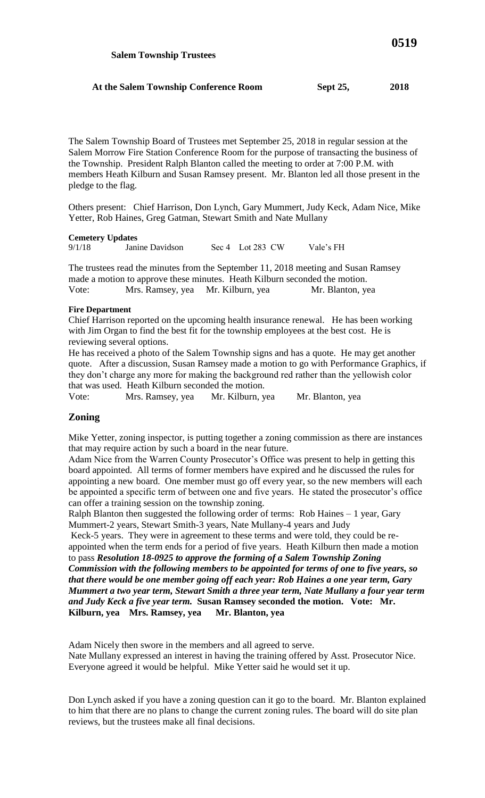The Salem Township Board of Trustees met September 25, 2018 in regular session at the Salem Morrow Fire Station Conference Room for the purpose of transacting the business of the Township. President Ralph Blanton called the meeting to order at 7:00 P.M. with members Heath Kilburn and Susan Ramsey present. Mr. Blanton led all those present in the pledge to the flag.

Others present: Chief Harrison, Don Lynch, Gary Mummert, Judy Keck, Adam Nice, Mike Yetter, Rob Haines, Greg Gatman, Stewart Smith and Nate Mullany

**Cemetery Updates**<br> **9/1/18 Davidson** 9/1/18 Janine Davidson Sec 4 Lot 283 CW Vale's FH

The trustees read the minutes from the September 11, 2018 meeting and Susan Ramsey made a motion to approve these minutes. Heath Kilburn seconded the motion. Vote: Mrs. Ramsey, yea Mr. Kilburn, yea Mr. Blanton, yea

#### **Fire Department**

Chief Harrison reported on the upcoming health insurance renewal. He has been working with Jim Organ to find the best fit for the township employees at the best cost. He is reviewing several options.

He has received a photo of the Salem Township signs and has a quote. He may get another quote. After a discussion, Susan Ramsey made a motion to go with Performance Graphics, if they don't charge any more for making the background red rather than the yellowish color that was used. Heath Kilburn seconded the motion.

Vote: Mrs. Ramsey, yea Mr. Kilburn, yea Mr. Blanton, yea

## **Zoning**

Mike Yetter, zoning inspector, is putting together a zoning commission as there are instances that may require action by such a board in the near future.

Adam Nice from the Warren County Prosecutor's Office was present to help in getting this board appointed. All terms of former members have expired and he discussed the rules for appointing a new board. One member must go off every year, so the new members will each be appointed a specific term of between one and five years. He stated the prosecutor's office can offer a training session on the township zoning.

Ralph Blanton then suggested the following order of terms: Rob Haines – 1 year, Gary Mummert-2 years, Stewart Smith-3 years, Nate Mullany-4 years and Judy

Keck-5 years. They were in agreement to these terms and were told, they could be reappointed when the term ends for a period of five years. Heath Kilburn then made a motion to pass *Resolution 18-0925 to approve the forming of a Salem Township Zoning Commission with the following members to be appointed for terms of one to five years, so that there would be one member going off each year: Rob Haines a one year term, Gary Mummert a two year term, Stewart Smith a three year term, Nate Mullany a four year term and Judy Keck a five year term.* **Susan Ramsey seconded the motion. Vote: Mr. Kilburn, yea Mrs. Ramsey, yea Mr. Blanton, yea**

Adam Nicely then swore in the members and all agreed to serve.

Nate Mullany expressed an interest in having the training offered by Asst. Prosecutor Nice. Everyone agreed it would be helpful. Mike Yetter said he would set it up.

Don Lynch asked if you have a zoning question can it go to the board. Mr. Blanton explained to him that there are no plans to change the current zoning rules. The board will do site plan reviews, but the trustees make all final decisions.